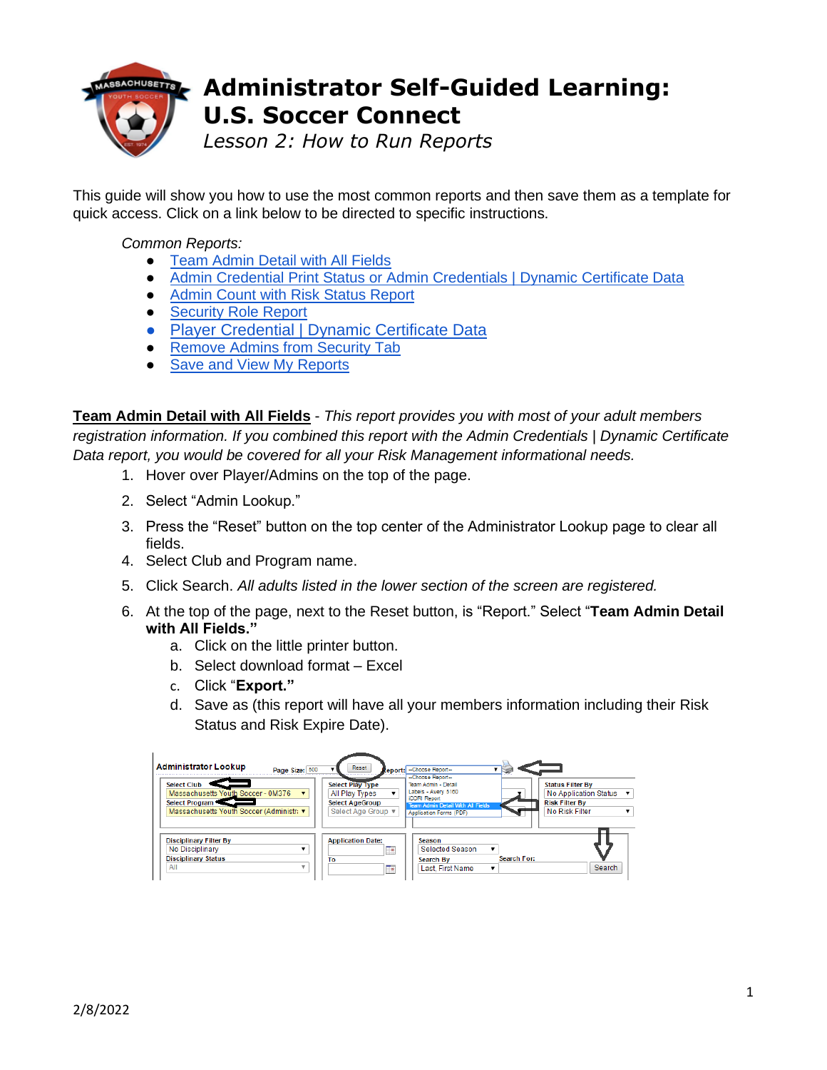

## **Administrator Self-Guided Learning: U.S. Soccer Connect**

*Lesson 2: How to Run Reports*

This guide will show you how to use the most common reports and then save them as a template for quick access. Click on a link below to be directed to specific instructions.

## *Common Reports:*

- [Team Admin Detail with All Fields](#page-0-0)
- [Admin Credential Print Status or Admin Credentials | Dynamic Certificate Data](#page-0-1)
- [Admin Count with Risk Status Report](#page-1-0)
- [Security Role Report](#page-2-0)
- [Player Credential | Dynamic Certificate Data](#page-1-1)
- Remove Admins from Security Tab
- [Save and View My Reports](#page-3-0)

<span id="page-0-0"></span>**Team Admin Detail with All Fields** - *This report provides you with most of your adult members registration information. If you combined this report with the Admin Credentials | Dynamic Certificate Data report, you would be covered for all your Risk Management informational needs.*

- 1. Hover over Player/Admins on the top of the page.
- 2. Select "Admin Lookup."
- 3. Press the "Reset" button on the top center of the Administrator Lookup page to clear all fields.
- 4. Select Club and Program name.
- 5. Click Search. *All adults listed in the lower section of the screen are registered.*
- 6. At the top of the page, next to the Reset button, is "Report." Select "**Team Admin Detail with All Fields."**
	- a. Click on the little printer button.
	- b. Select download format Excel
	- c. Click "**Export."**
	- d. Save as (this report will have all your members information including their Risk Status and Risk Expire Date).

<span id="page-0-1"></span>

| <b>Administrator Lookup</b><br>Page Size: 500                                                                         | Reset                                                                                     | teport: - Choose Report-                                                                                                                                      |                                                                                                      |
|-----------------------------------------------------------------------------------------------------------------------|-------------------------------------------------------------------------------------------|---------------------------------------------------------------------------------------------------------------------------------------------------------------|------------------------------------------------------------------------------------------------------|
| <b>Select Club</b><br>Massachusetts Youth Soccer - 0M376<br>Select Program<br>Massachusetts Youth Soccer (Administrav | <b>Select Play Type</b><br>All Play Types<br><b>Select AgeGroup</b><br>Select Age Group ▼ | --Choose Report--<br>Team Admin - Detail<br>Labels - Avery 5160<br><b>iCORI Report</b><br><b>Team Admin Detail With All Fields</b><br>Application Forms (PDF) | <b>Status Filter By</b><br>No Application Status ▼<br><b>Risk Filter By</b><br><b>No Risk Filter</b> |
| <b>Disciplinary Filter By</b><br>No Disciplinary<br><b>Disciplinary Status</b><br>All                                 | <b>Application Date:</b><br>, er<br>To<br>æ                                               | Season<br><b>Selected Season</b><br><b>Search For:</b><br><b>Search By</b><br><b>Last. First Name</b>                                                         | Search                                                                                               |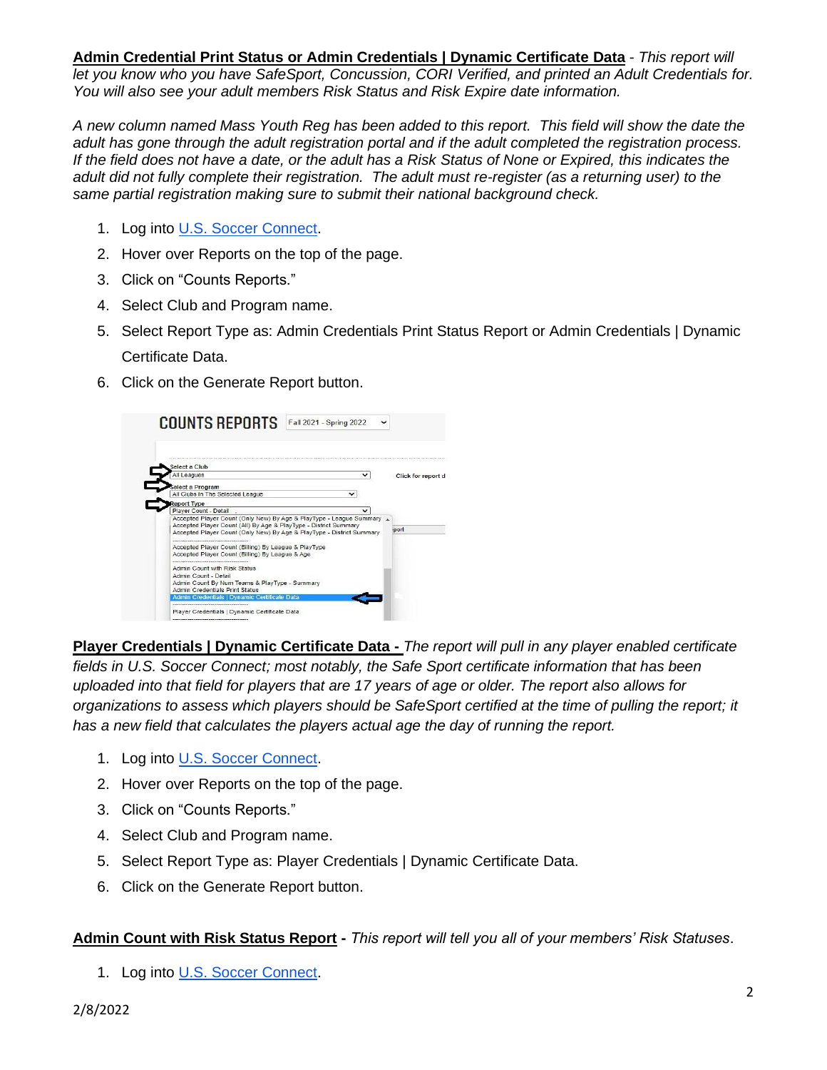**Admin Credential Print Status or Admin Credentials | Dynamic Certificate Data** - *This report will let you know who you have SafeSport, Concussion, CORI Verified, and printed an Adult Credentials for. You will also see your adult members Risk Status and Risk Expire date information.*

*A new column named Mass Youth Reg has been added to this report. This field will show the date the adult has gone through the adult registration portal and if the adult completed the registration process.*  If the field does not have a date, or the adult has a Risk Status of None or Expired, this indicates the *adult did not fully complete their registration. The adult must re-register (as a returning user) to the same partial registration making sure to submit their national background check.*

- 1. Log into [U.S. Soccer Connect.](https://ma-adultinfo.affinitysoccer.com/Foundation/Login.aspx?sessionguid=)
- 2. Hover over Reports on the top of the page.
- 3. Click on "Counts Reports."
- 4. Select Club and Program name.
- 5. Select Report Type as: Admin Credentials Print Status Report or Admin Credentials | Dynamic Certificate Data.
- 6. Click on the Generate Report button.



<span id="page-1-1"></span>**Player Credentials | Dynamic Certificate Data -** *The report will pull in any player enabled certificate fields in U.S. Soccer Connect; most notably, the Safe Sport certificate information that has been uploaded into that field for players that are 17 years of age or older. The report also allows for organizations to assess which players should be SafeSport certified at the time of pulling the report; it has a new field that calculates the players actual age the day of running the report.*

- 1. Log into [U.S. Soccer Connect.](https://ma-adultinfo.affinitysoccer.com/Foundation/Login.aspx?sessionguid=)
- 2. Hover over Reports on the top of the page.
- 3. Click on "Counts Reports."
- 4. Select Club and Program name.
- 5. Select Report Type as: Player Credentials | Dynamic Certificate Data.
- 6. Click on the Generate Report button.

<span id="page-1-0"></span>**Admin Count with Risk Status Report -** *This report will tell you all of your members' Risk Statuses*.

1. Log into [U.S. Soccer Connect.](https://ma-adultinfo.affinitysoccer.com/Foundation/Login.aspx?sessionguid=)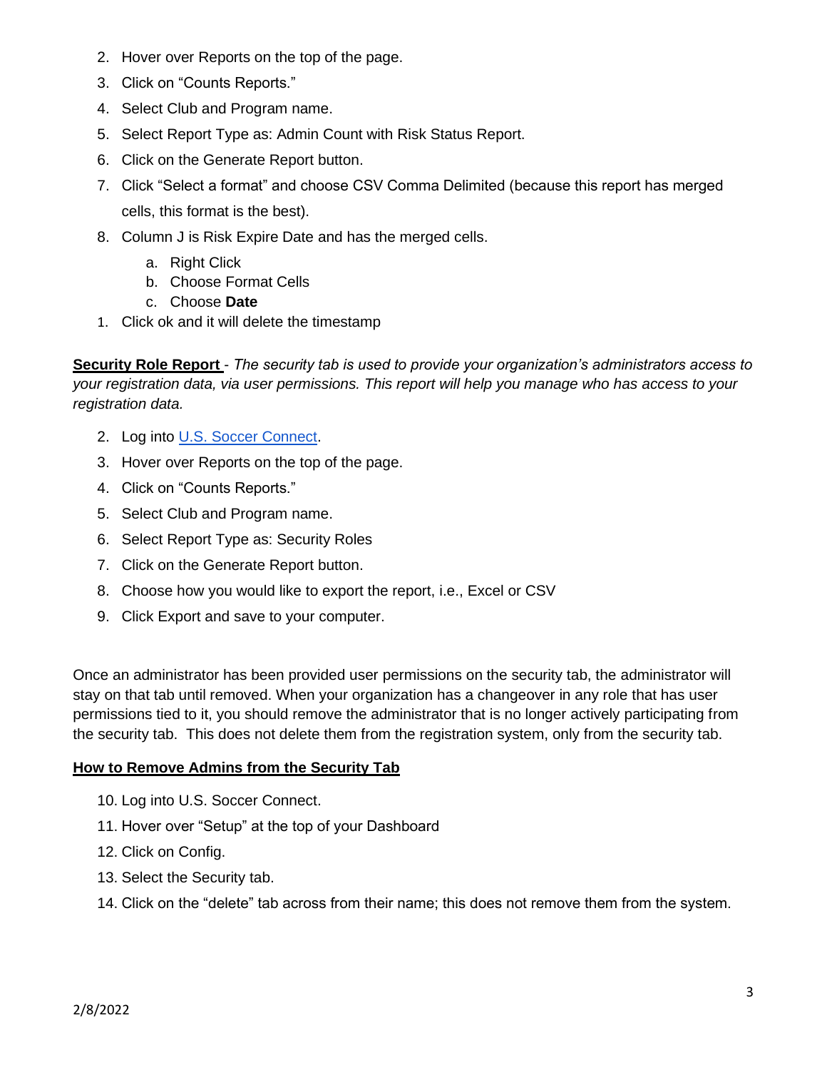- 2. Hover over Reports on the top of the page.
- 3. Click on "Counts Reports."
- 4. Select Club and Program name.
- 5. Select Report Type as: Admin Count with Risk Status Report.
- 6. Click on the Generate Report button.
- 7. Click "Select a format" and choose CSV Comma Delimited (because this report has merged cells, this format is the best).
- 8. Column J is Risk Expire Date and has the merged cells.
	- a. Right Click
	- b. Choose Format Cells
	- c. Choose **Date**
- 1. Click ok and it will delete the timestamp

<span id="page-2-0"></span>**Security Role Report** - *The security tab is used to provide your organization's administrators access to your registration data, via user permissions. This report will help you manage who has access to your registration data.*

- 2. Log into [U.S. Soccer Connect.](https://ma-adultinfo.affinitysoccer.com/Foundation/Login.aspx?sessionguid=)
- 3. Hover over Reports on the top of the page.
- 4. Click on "Counts Reports."
- 5. Select Club and Program name.
- 6. Select Report Type as: Security Roles
- 7. Click on the Generate Report button.
- 8. Choose how you would like to export the report, i.e., Excel or CSV
- 9. Click Export and save to your computer.

Once an administrator has been provided user permissions on the security tab, the administrator will stay on that tab until removed. When your organization has a changeover in any role that has user permissions tied to it, you should remove the administrator that is no longer actively participating from the security tab. This does not delete them from the registration system, only from the security tab.

## **How to Remove Admins from the Security Tab**

- <span id="page-2-1"></span>10. Log into [U.S. Soccer Connect.](https://ma-adultinfo.affinitysoccer.com/Foundation/Login.aspx?sessionguid=)
- 11. Hover over "Setup" at the top of your Dashboard
- 12. Click on Config.
- 13. Select the Security tab.
- 14. Click on the "delete" tab across from their name; this does not remove them from the system.